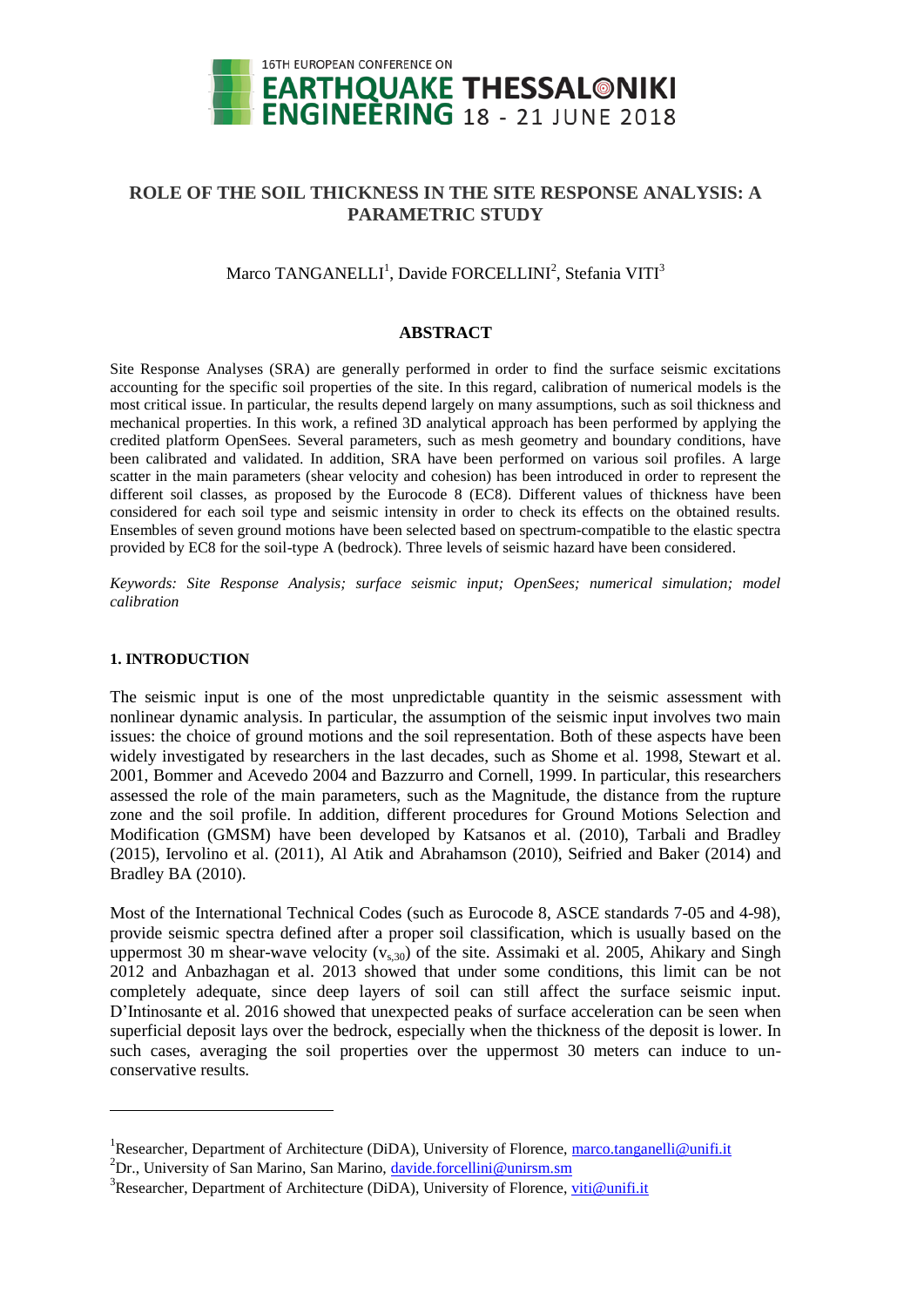

# **ROLE OF THE SOIL THICKNESS IN THE SITE RESPONSE ANALYSIS: A PARAMETRIC STUDY**

## Marco TANGANELLI<sup>1</sup>, Davide FORCELLINI<sup>2</sup>, Stefania VITI<sup>3</sup>

## **ABSTRACT**

Site Response Analyses (SRA) are generally performed in order to find the surface seismic excitations accounting for the specific soil properties of the site. In this regard, calibration of numerical models is the most critical issue. In particular, the results depend largely on many assumptions, such as soil thickness and mechanical properties. In this work, a refined 3D analytical approach has been performed by applying the credited platform OpenSees. Several parameters, such as mesh geometry and boundary conditions, have been calibrated and validated. In addition, SRA have been performed on various soil profiles. A large scatter in the main parameters (shear velocity and cohesion) has been introduced in order to represent the different soil classes, as proposed by the Eurocode 8 (EC8). Different values of thickness have been considered for each soil type and seismic intensity in order to check its effects on the obtained results. Ensembles of seven ground motions have been selected based on spectrum-compatible to the elastic spectra provided by EC8 for the soil-type A (bedrock). Three levels of seismic hazard have been considered.

*Keywords: Site Response Analysis; surface seismic input; OpenSees; numerical simulation; model calibration*

#### **1. INTRODUCTION**

l

The seismic input is one of the most unpredictable quantity in the seismic assessment with nonlinear dynamic analysis. In particular, the assumption of the seismic input involves two main issues: the choice of ground motions and the soil representation. Both of these aspects have been widely investigated by researchers in the last decades, such as Shome et al. 1998, Stewart et al. 2001, Bommer and Acevedo 2004 and Bazzurro and Cornell, 1999. In particular, this researchers assessed the role of the main parameters, such as the Magnitude, the distance from the rupture zone and the soil profile. In addition, different procedures for Ground Motions Selection and Modification (GMSM) have been developed by Katsanos et al. (2010), Tarbali and Bradley (2015), Iervolino et al. (2011), Al Atik and Abrahamson (2010), Seifried and Baker (2014) and Bradley BA (2010).

Most of the International Technical Codes (such as Eurocode 8, ASCE standards 7-05 and 4-98), provide seismic spectra defined after a proper soil classification, which is usually based on the uppermost 30 m shear-wave velocity  $(v_{s,30})$  of the site. Assimaki et al. 2005, Ahikary and Singh 2012 and Anbazhagan et al. 2013 showed that under some conditions, this limit can be not completely adequate, since deep layers of soil can still affect the surface seismic input. D'Intinosante et al. 2016 showed that unexpected peaks of surface acceleration can be seen when superficial deposit lays over the bedrock, especially when the thickness of the deposit is lower. In such cases, averaging the soil properties over the uppermost 30 meters can induce to unconservative results.

<sup>&</sup>lt;sup>1</sup>Researcher, Department of Architecture (DiDA), University of Florence, marco.tanganelli@unifi.it

<sup>&</sup>lt;sup>2</sup>Dr., University of San Marino, San Marino, [davide.forcellini@unirsm.sm](mailto:davide.forcellini@unirsm.sm)

<sup>&</sup>lt;sup>3</sup>Researcher, Department of Architecture (DiDA), University of Florence, [viti@unifi.it](mailto:viti@unifi.it)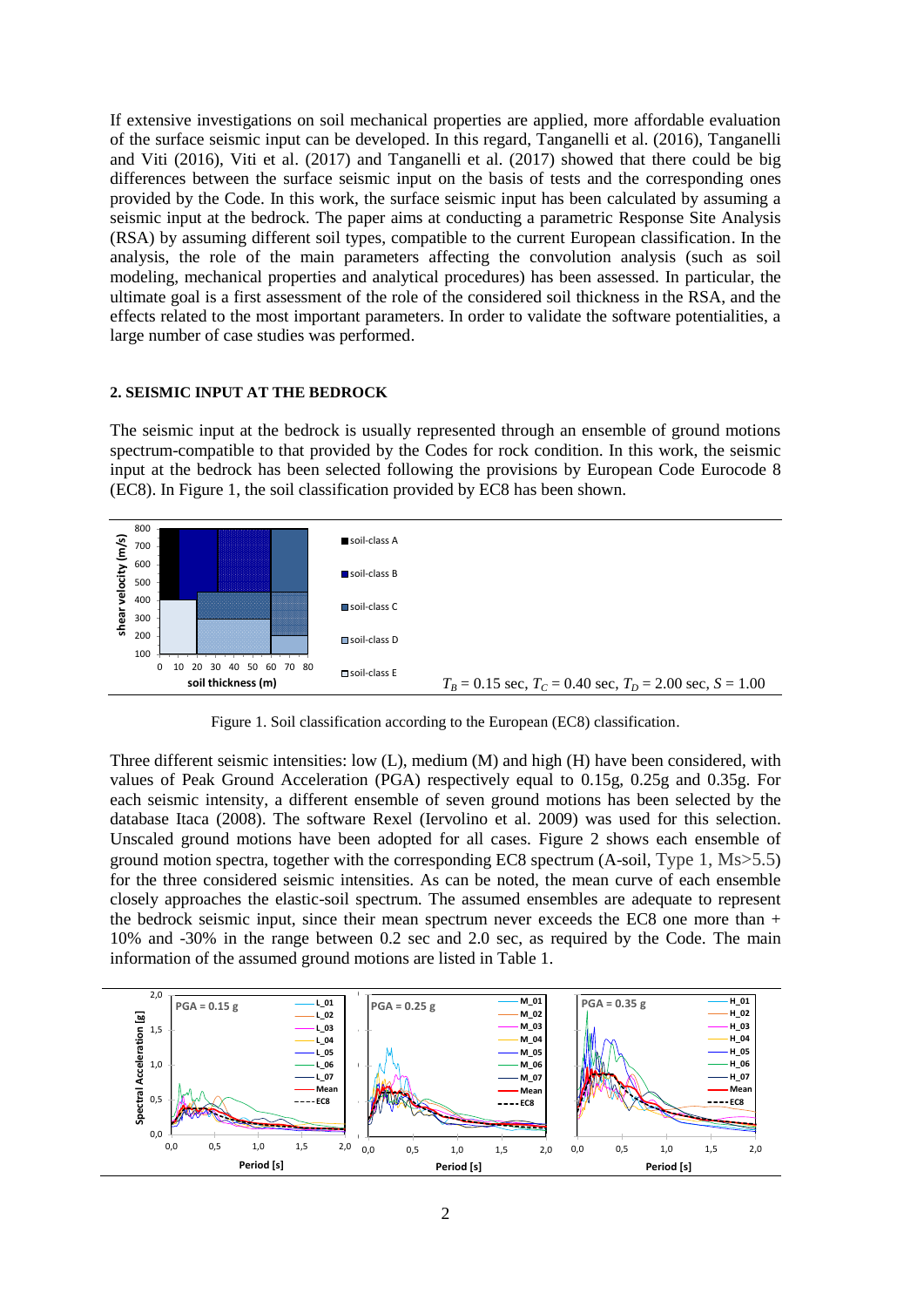If extensive investigations on soil mechanical properties are applied, more affordable evaluation of the surface seismic input can be developed. In this regard, Tanganelli et al. (2016), Tanganelli and Viti (2016), Viti et al. (2017) and Tanganelli et al. (2017) showed that there could be big differences between the surface seismic input on the basis of tests and the corresponding ones provided by the Code. In this work, the surface seismic input has been calculated by assuming a seismic input at the bedrock. The paper aims at conducting a parametric Response Site Analysis (RSA) by assuming different soil types, compatible to the current European classification. In the analysis, the role of the main parameters affecting the convolution analysis (such as soil modeling, mechanical properties and analytical procedures) has been assessed. In particular, the ultimate goal is a first assessment of the role of the considered soil thickness in the RSA, and the effects related to the most important parameters. In order to validate the software potentialities, a large number of case studies was performed.

#### **2. SEISMIC INPUT AT THE BEDROCK**

The seismic input at the bedrock is usually represented through an ensemble of ground motions spectrum-compatible to that provided by the Codes for rock condition. In this work, the seismic input at the bedrock has been selected following the provisions by European Code Eurocode 8 (EC8). In Figure 1, the soil classification provided by EC8 has been shown.



Figure 1. Soil classification according to the European (EC8) classification.

Three different seismic intensities: low (L), medium (M) and high (H) have been considered, with values of Peak Ground Acceleration (PGA) respectively equal to 0.15g, 0.25g and 0.35g. For each seismic intensity, a different ensemble of seven ground motions has been selected by the database Itaca (2008). The software Rexel (Iervolino et al. 2009) was used for this selection. Unscaled ground motions have been adopted for all cases. Figure 2 shows each ensemble of ground motion spectra, together with the corresponding EC8 spectrum (A-soil, Type 1, Ms>5.5) for the three considered seismic intensities. As can be noted, the mean curve of each ensemble closely approaches the elastic-soil spectrum. The assumed ensembles are adequate to represent the bedrock seismic input, since their mean spectrum never exceeds the EC8 one more than  $+$ 10% and -30% in the range between 0.2 sec and 2.0 sec, as required by the Code. The main information of the assumed ground motions are listed in Table 1.

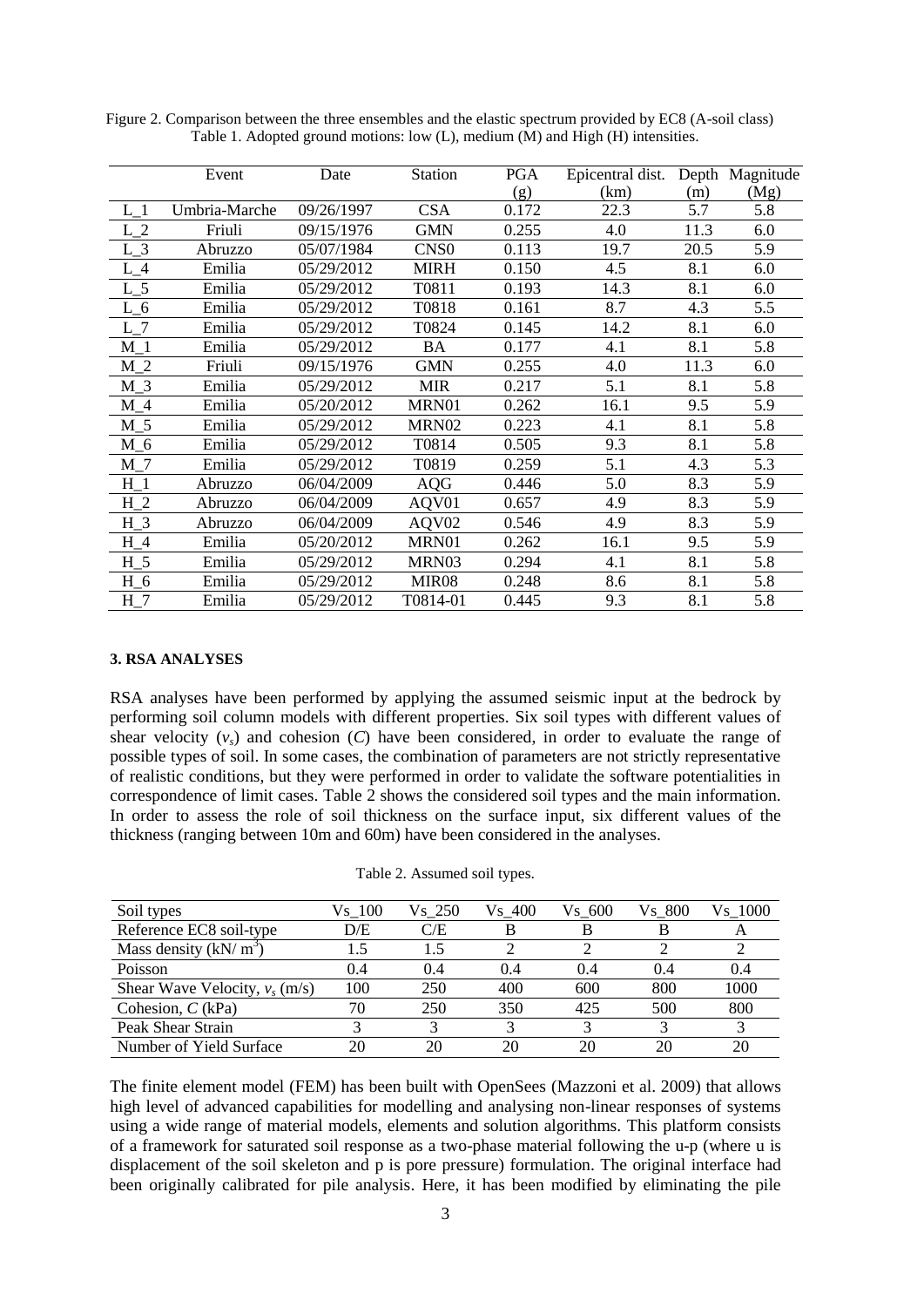|          | Event         | Date       | <b>Station</b>    | <b>PGA</b> | Epicentral dist. |      | Depth Magnitude |
|----------|---------------|------------|-------------------|------------|------------------|------|-----------------|
|          |               |            |                   | (g)        | (km)             | (m)  | (Mg)            |
|          | Umbria-Marche | 09/26/1997 | <b>CSA</b>        | 0.172      | 22.3             | 5.7  | 5.8             |
| $L_2$    | Friuli        | 09/15/1976 | <b>GMN</b>        | 0.255      | 4.0              | 11.3 | 6.0             |
| $L_3$    | Abruzzo       | 05/07/1984 | CNS <sub>0</sub>  | 0.113      | 19.7             | 20.5 | 5.9             |
| $L_4$    | Emilia        | 05/29/2012 | <b>MIRH</b>       | 0.150      | 4.5              | 8.1  | 6.0             |
| $L_{-}5$ | Emilia        | 05/29/2012 | T0811             | 0.193      | 14.3             | 8.1  | 6.0             |
| $L_6$    | Emilia        | 05/29/2012 | T0818             | 0.161      | 8.7              | 4.3  | 5.5             |
| $L_7$    | Emilia        | 05/29/2012 | T0824             | 0.145      | 14.2             | 8.1  | 6.0             |
| $M_1$    | Emilia        | 05/29/2012 | BA                | 0.177      | 4.1              | 8.1  | 5.8             |
| $M_2$    | Friuli        | 09/15/1976 | <b>GMN</b>        | 0.255      | 4.0              | 11.3 | 6.0             |
| $M_3$    | Emilia        | 05/29/2012 | <b>MIR</b>        | 0.217      | 5.1              | 8.1  | 5.8             |
| $M_4$    | Emilia        | 05/20/2012 | MRN01             | 0.262      | 16.1             | 9.5  | 5.9             |
| $M_5$    | Emilia        | 05/29/2012 | MRN02             | 0.223      | 4.1              | 8.1  | 5.8             |
| $M_6$    | Emilia        | 05/29/2012 | T0814             | 0.505      | 9.3              | 8.1  | 5.8             |
| $M_7$    | Emilia        | 05/29/2012 | T0819             | 0.259      | 5.1              | 4.3  | 5.3             |
| $H_1$    | Abruzzo       | 06/04/2009 | <b>AQG</b>        | 0.446      | 5.0              | 8.3  | 5.9             |
| $H_2$    | Abruzzo       | 06/04/2009 | AQV01             | 0.657      | 4.9              | 8.3  | 5.9             |
| $H_3$    | Abruzzo       | 06/04/2009 | AQV02             | 0.546      | 4.9              | 8.3  | 5.9             |
| $H_4$    | Emilia        | 05/20/2012 | MRN01             | 0.262      | 16.1             | 9.5  | 5.9             |
| $H_5$    | Emilia        | 05/29/2012 | MRN03             | 0.294      | 4.1              | 8.1  | 5.8             |
| $H_6$    | Emilia        | 05/29/2012 | MIR <sub>08</sub> | 0.248      | 8.6              | 8.1  | 5.8             |
| $H_7$    | Emilia        | 05/29/2012 | T0814-01          | 0.445      | 9.3              | 8.1  | 5.8             |

Figure 2. Comparison between the three ensembles and the elastic spectrum provided by EC8 (A-soil class) Table 1. Adopted ground motions: low (L), medium (M) and High (H) intensities.

#### **3. RSA ANALYSES**

RSA analyses have been performed by applying the assumed seismic input at the bedrock by performing soil column models with different properties. Six soil types with different values of shear velocity  $(v<sub>s</sub>)$  and cohesion (C) have been considered, in order to evaluate the range of possible types of soil. In some cases, the combination of parameters are not strictly representative of realistic conditions, but they were performed in order to validate the software potentialities in correspondence of limit cases. Table 2 shows the considered soil types and the main information. In order to assess the role of soil thickness on the surface input, six different values of the thickness (ranging between 10m and 60m) have been considered in the analyses.

| Soil types                       | Vs 100 | Vs 250 | Vs 400 | Vs 600 | Vs 800 | Vs 1000 |
|----------------------------------|--------|--------|--------|--------|--------|---------|
| Reference EC8 soil-type          | D/E    | C/E    | B      |        |        |         |
| Mass density $(kN/m^3)$          | 1.5    | 1.5    |        |        |        |         |
| Poisson                          | 0.4    | 0.4    | 0.4    | 0.4    | 0.4    | 0.4     |
| Shear Wave Velocity, $v_s$ (m/s) | 100    | 250    | 400    | 600    | 800    | 1000    |
| Cohesion, $C$ (kPa)              | 70     | 250    | 350    | 425    | 500    | 800     |
| Peak Shear Strain                |        |        | 2      |        |        |         |
| Number of Yield Surface          | 20     | 20     | 20     | 20     | 20     | 20      |

Table 2. Assumed soil types.

The finite element model (FEM) has been built with OpenSees (Mazzoni et al. 2009) that allows high level of advanced capabilities for modelling and analysing non-linear responses of systems using a wide range of material models, elements and solution algorithms. This platform consists of a framework for saturated soil response as a two-phase material following the u-p (where u is displacement of the soil skeleton and p is pore pressure) formulation. The original interface had been originally calibrated for pile analysis. Here, it has been modified by eliminating the pile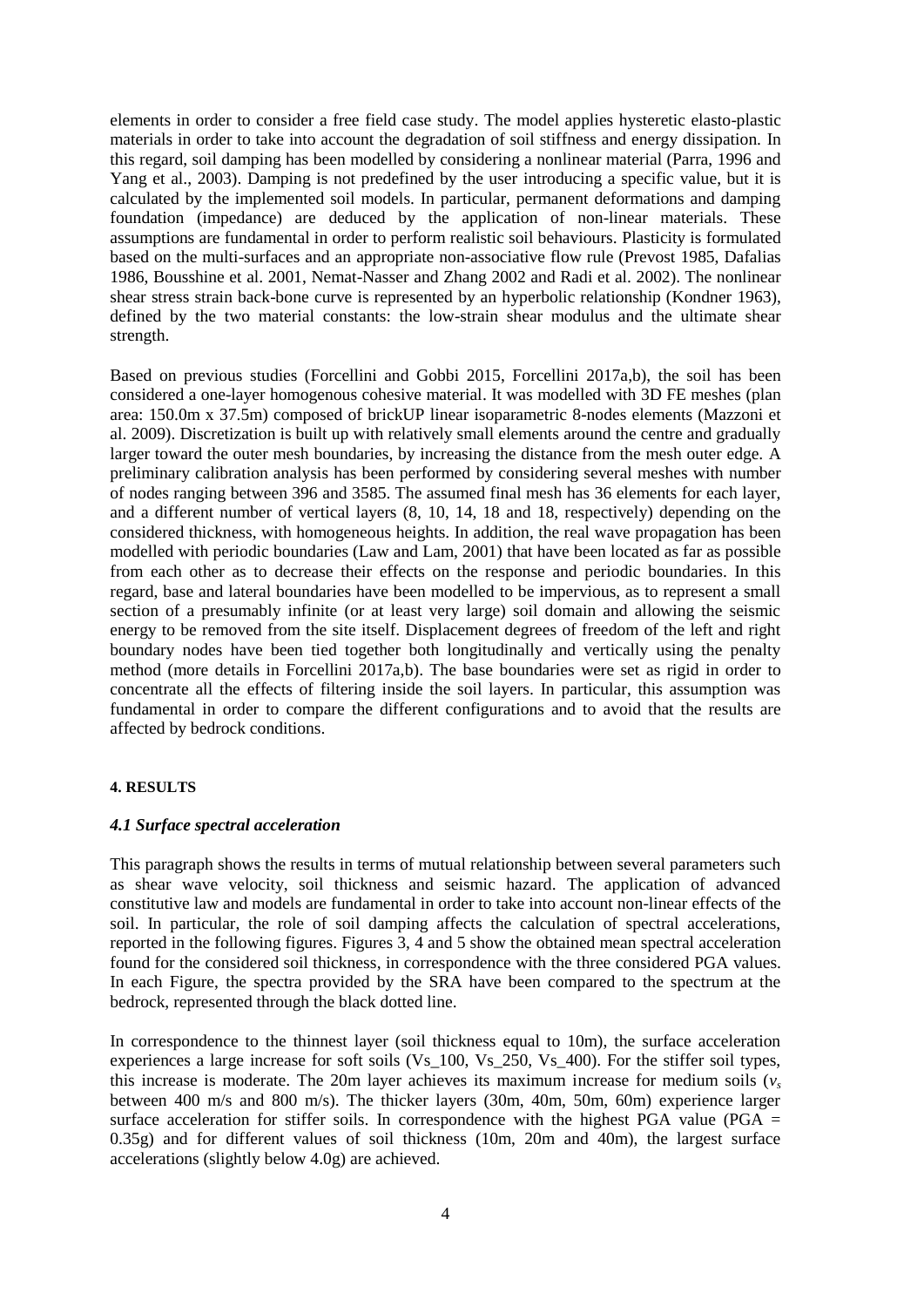elements in order to consider a free field case study. The model applies hysteretic elasto-plastic materials in order to take into account the degradation of soil stiffness and energy dissipation. In this regard, soil damping has been modelled by considering a nonlinear material (Parra, 1996 and Yang et al., 2003). Damping is not predefined by the user introducing a specific value, but it is calculated by the implemented soil models. In particular, permanent deformations and damping foundation (impedance) are deduced by the application of non-linear materials. These assumptions are fundamental in order to perform realistic soil behaviours. Plasticity is formulated based on the multi-surfaces and an appropriate non-associative flow rule (Prevost 1985, Dafalias 1986, Bousshine et al. 2001, Nemat-Nasser and Zhang 2002 and Radi et al. 2002). The nonlinear shear stress strain back-bone curve is represented by an hyperbolic relationship (Kondner 1963), defined by the two material constants: the low-strain shear modulus and the ultimate shear strength.

Based on previous studies (Forcellini and Gobbi 2015, Forcellini 2017a,b), the soil has been considered a one-layer homogenous cohesive material. It was modelled with 3D FE meshes (plan area: 150.0m x 37.5m) composed of brickUP linear isoparametric 8-nodes elements (Mazzoni et al. 2009). Discretization is built up with relatively small elements around the centre and gradually larger toward the outer mesh boundaries, by increasing the distance from the mesh outer edge. A preliminary calibration analysis has been performed by considering several meshes with number of nodes ranging between 396 and 3585. The assumed final mesh has 36 elements for each layer, and a different number of vertical layers (8, 10, 14, 18 and 18, respectively) depending on the considered thickness, with homogeneous heights. In addition, the real wave propagation has been modelled with periodic boundaries (Law and Lam, 2001) that have been located as far as possible from each other as to decrease their effects on the response and periodic boundaries. In this regard, base and lateral boundaries have been modelled to be impervious, as to represent a small section of a presumably infinite (or at least very large) soil domain and allowing the seismic energy to be removed from the site itself. Displacement degrees of freedom of the left and right boundary nodes have been tied together both longitudinally and vertically using the penalty method (more details in Forcellini 2017a,b). The base boundaries were set as rigid in order to concentrate all the effects of filtering inside the soil layers. In particular, this assumption was fundamental in order to compare the different configurations and to avoid that the results are affected by bedrock conditions.

#### **4. RESULTS**

### *4.1 Surface spectral acceleration*

This paragraph shows the results in terms of mutual relationship between several parameters such as shear wave velocity, soil thickness and seismic hazard. The application of advanced constitutive law and models are fundamental in order to take into account non-linear effects of the soil. In particular, the role of soil damping affects the calculation of spectral accelerations, reported in the following figures. Figures 3, 4 and 5 show the obtained mean spectral acceleration found for the considered soil thickness, in correspondence with the three considered PGA values. In each Figure, the spectra provided by the SRA have been compared to the spectrum at the bedrock, represented through the black dotted line.

In correspondence to the thinnest layer (soil thickness equal to 10m), the surface acceleration experiences a large increase for soft soils (Vs 100, Vs 250, Vs 400). For the stiffer soil types, this increase is moderate. The 20m layer achieves its maximum increase for medium soils  $(v<sub>s</sub>)$ between 400 m/s and 800 m/s). The thicker layers (30m, 40m, 50m, 60m) experience larger surface acceleration for stiffer soils. In correspondence with the highest PGA value ( $PGA =$ 0.35g) and for different values of soil thickness (10m, 20m and 40m), the largest surface accelerations (slightly below 4.0g) are achieved.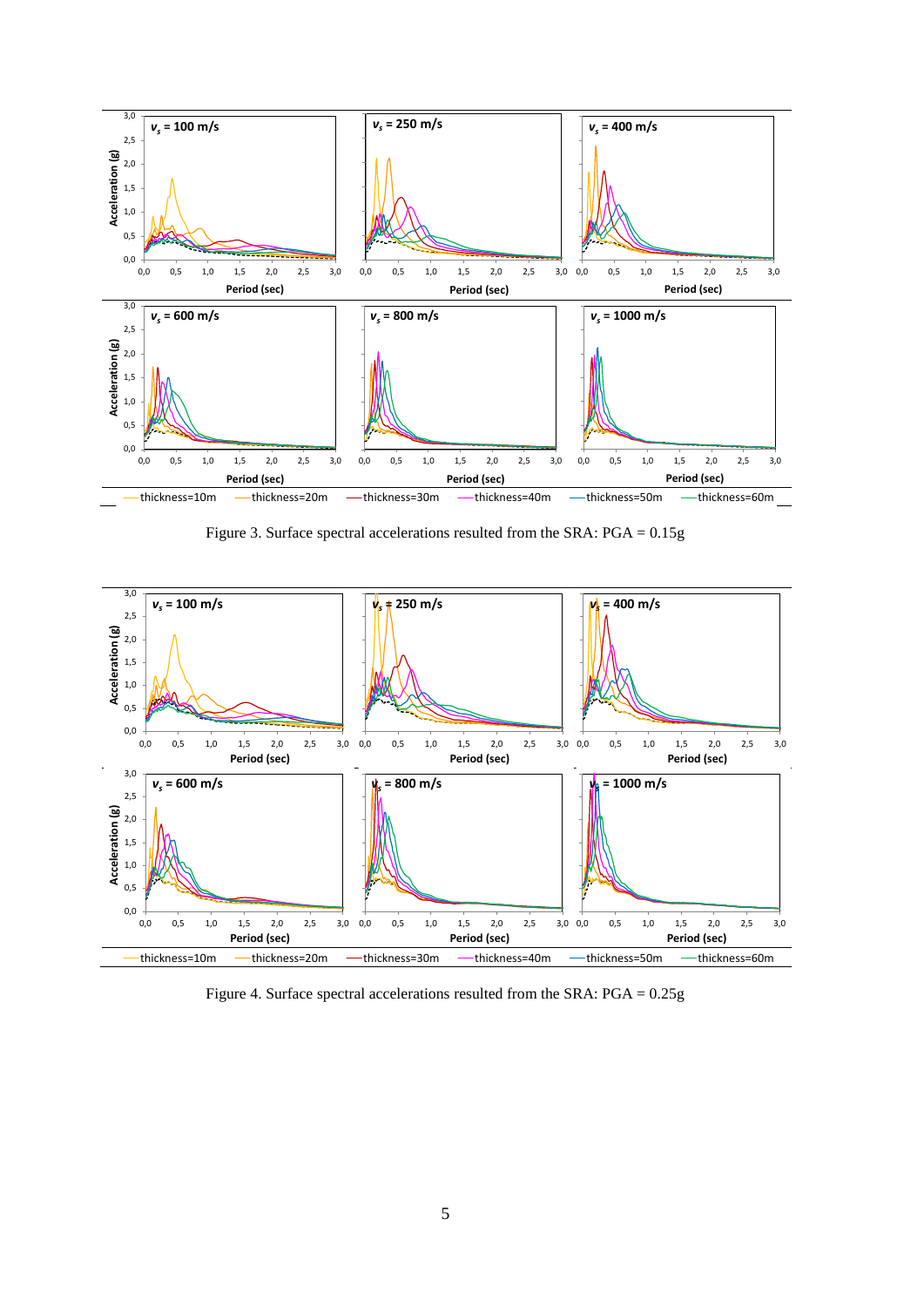

Figure 3. Surface spectral accelerations resulted from the SRA: PGA = 0.15g



Figure 4. Surface spectral accelerations resulted from the SRA: PGA = 0.25g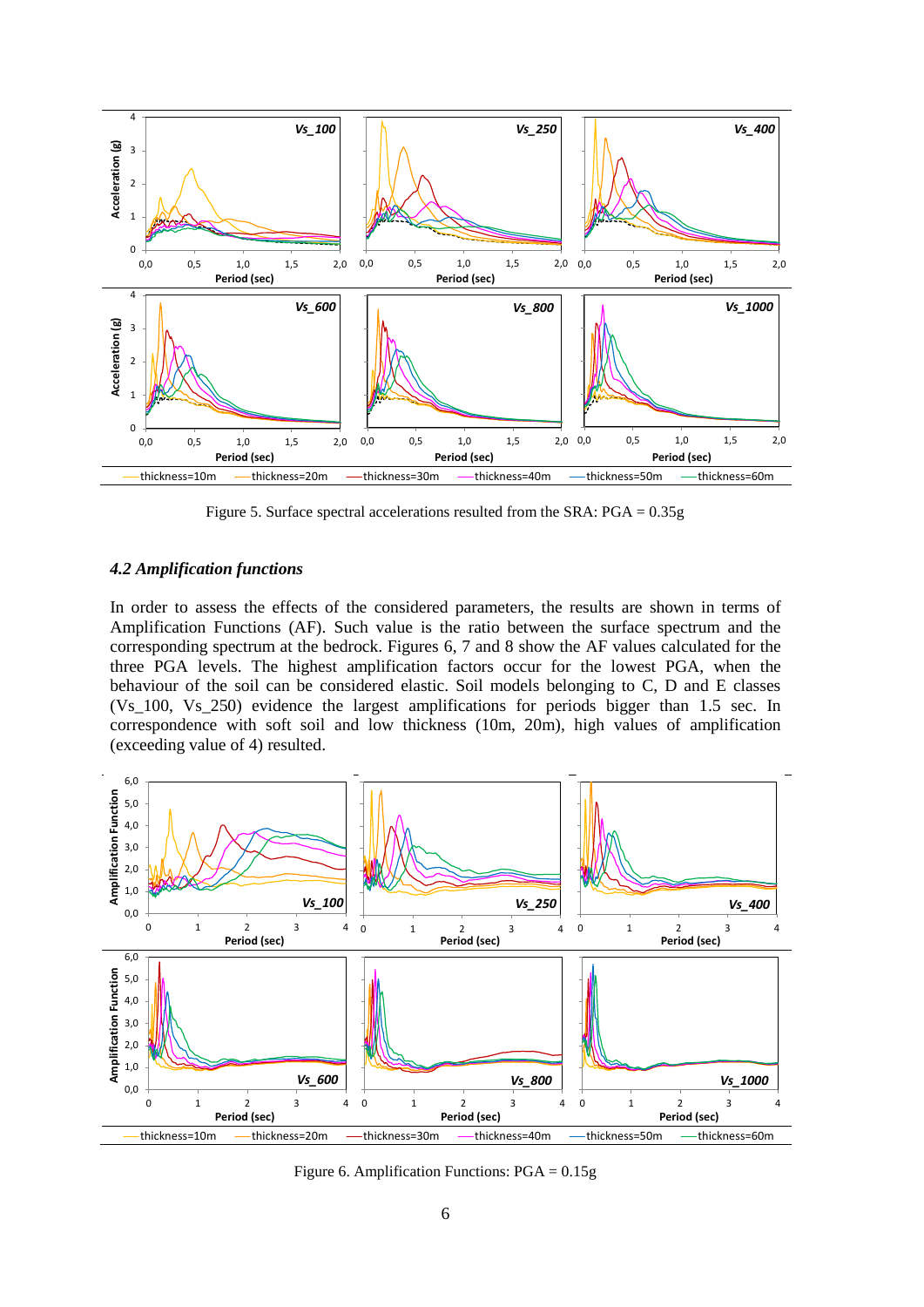

Figure 5. Surface spectral accelerations resulted from the SRA: PGA = 0.35g

### *4.2 Amplification functions*

In order to assess the effects of the considered parameters, the results are shown in terms of Amplification Functions (AF). Such value is the ratio between the surface spectrum and the corresponding spectrum at the bedrock. Figures 6, 7 and 8 show the AF values calculated for the three PGA levels. The highest amplification factors occur for the lowest PGA, when the behaviour of the soil can be considered elastic. Soil models belonging to C, D and E classes (Vs\_100, Vs\_250) evidence the largest amplifications for periods bigger than 1.5 sec. In correspondence with soft soil and low thickness (10m, 20m), high values of amplification (exceeding value of 4) resulted.



Figure 6. Amplification Functions: PGA = 0.15g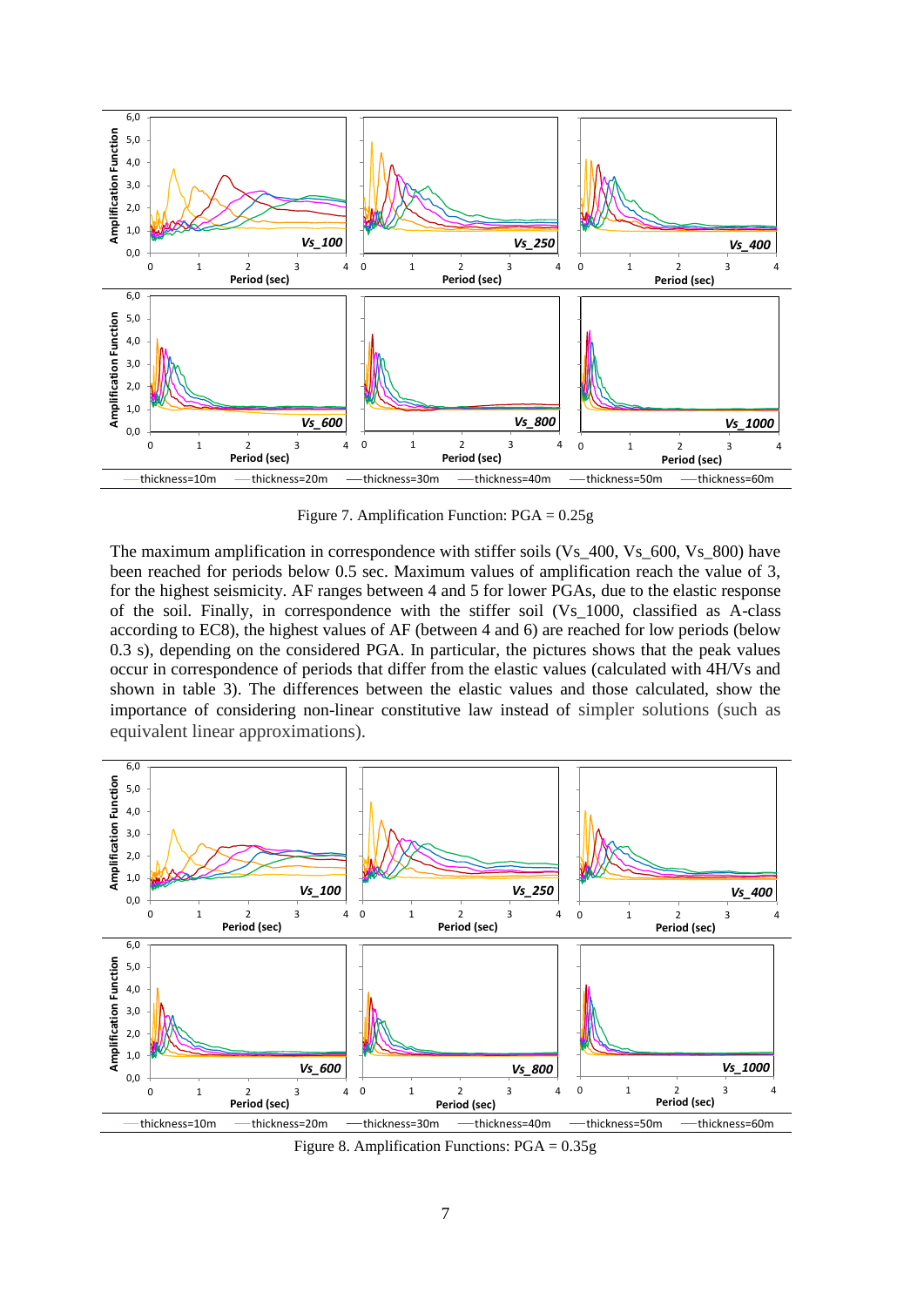

Figure 7. Amplification Function: PGA = 0.25g

The maximum amplification in correspondence with stiffer soils (Vs\_400, Vs\_600, Vs\_800) have been reached for periods below 0.5 sec. Maximum values of amplification reach the value of 3, for the highest seismicity. AF ranges between 4 and 5 for lower PGAs, due to the elastic response of the soil. Finally, in correspondence with the stiffer soil (Vs\_1000, classified as A-class according to EC8), the highest values of AF (between 4 and 6) are reached for low periods (below 0.3 s), depending on the considered PGA. In particular, the pictures shows that the peak values occur in correspondence of periods that differ from the elastic values (calculated with 4H/Vs and shown in table 3). The differences between the elastic values and those calculated, show the importance of considering non-linear constitutive law instead of simpler solutions (such as equivalent linear approximations).



Figure 8. Amplification Functions: PGA = 0.35g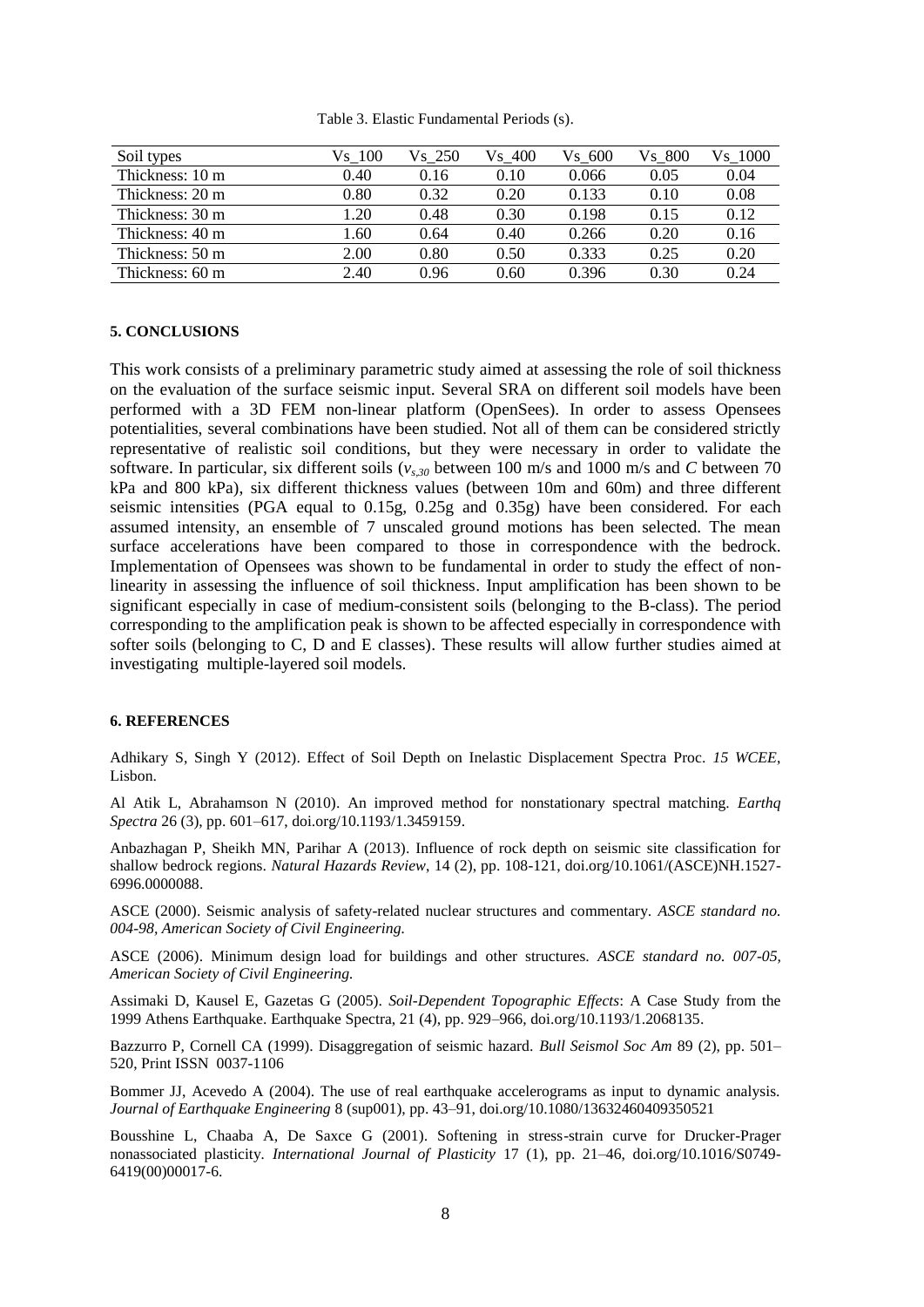| Soil types      | Vs 100 | Vs 250 | Vs 400 | Vs 600 | Vs 800 | Vs 1000 |
|-----------------|--------|--------|--------|--------|--------|---------|
| Thickness: 10 m | 0.40   | 0.16   | 0.10   | 0.066  | 0.05   | 0.04    |
| Thickness: 20 m | 0.80   | 0.32   | 0.20   | 0.133  | 0.10   | 0.08    |
| Thickness: 30 m | .20    | 0.48   | 0.30   | 0.198  | 0.15   | 0.12    |
| Thickness: 40 m | .60    | 0.64   | 0.40   | 0.266  | 0.20   | 0.16    |
| Thickness: 50 m | 2.00   | 0.80   | 0.50   | 0.333  | 0.25   | 0.20    |
| Thickness: 60 m | 2.40   | 0.96   | 0.60   | 0.396  | 0.30   | 0.24    |

Table 3. Elastic Fundamental Periods (s).

#### **5. CONCLUSIONS**

This work consists of a preliminary parametric study aimed at assessing the role of soil thickness on the evaluation of the surface seismic input. Several SRA on different soil models have been performed with a 3D FEM non-linear platform (OpenSees). In order to assess Opensees potentialities, several combinations have been studied. Not all of them can be considered strictly representative of realistic soil conditions, but they were necessary in order to validate the software. In particular, six different soils  $(v_{s,30})$  between 100 m/s and 1000 m/s and *C* between 70 kPa and 800 kPa), six different thickness values (between 10m and 60m) and three different seismic intensities (PGA equal to 0.15g, 0.25g and 0.35g) have been considered. For each assumed intensity, an ensemble of 7 unscaled ground motions has been selected. The mean surface accelerations have been compared to those in correspondence with the bedrock. Implementation of Opensees was shown to be fundamental in order to study the effect of nonlinearity in assessing the influence of soil thickness. Input amplification has been shown to be significant especially in case of medium-consistent soils (belonging to the B-class). The period corresponding to the amplification peak is shown to be affected especially in correspondence with softer soils (belonging to C, D and E classes). These results will allow further studies aimed at investigating multiple-layered soil models.

#### **6. REFERENCES**

Adhikary S, Singh Y (2012). Effect of Soil Depth on Inelastic Displacement Spectra Proc. *15 WCEE*, Lisbon.

Al Atik L, Abrahamson N (2010). An improved method for nonstationary spectral matching. *Earthq Spectra* 26 (3), pp. 601–617, [doi.org/10.1193/1.3459159.](https://doi.org/10.1193/1.3459159)

Anbazhagan P, Sheikh MN, Parihar A (2013). Influence of rock depth on seismic site classification for shallow bedrock regions. *Natural Hazards Review*, 14 (2), pp. 108-121, [doi.org/10.1061/\(ASCE\)NH.1527-](https://doi.org/10.1061/(ASCE)NH.1527-6996.0000088) [6996.0000088.](https://doi.org/10.1061/(ASCE)NH.1527-6996.0000088)

ASCE (2000). Seismic analysis of safety-related nuclear structures and commentary. *ASCE standard no. 004-98, American Society of Civil Engineering.*

ASCE (2006). Minimum design load for buildings and other structures. *ASCE standard no. 007-05, American Society of Civil Engineering.*

Assimaki D, Kausel E, Gazetas G (2005). *Soil-Dependent Topographic Effects*: A Case Study from the 1999 Athens Earthquake. Earthquake Spectra, 21 (4), pp. 929–966, [doi.org/10.1193/1.2068135.](https://doi.org/10.1193/1.2068135)

Bazzurro P, Cornell CA (1999). Disaggregation of seismic hazard. *Bull Seismol Soc Am* 89 (2), pp. 501– 520, Print ISSN [0037-1106](http://www.worldcat.org/issn/0037-1106)

Bommer JJ, Acevedo A (2004). The use of real earthquake accelerograms as input to dynamic analysis. *Journal of Earthquake Engineering* 8 (sup001), pp. 43–91, [doi.org/10.1080/13632460409350521](http://dx.doi.org/10.1080/13632460409350521)

Bousshine L, Chaaba A, De Saxce G (2001). Softening in stress-strain curve for Drucker-Prager nonassociated plasticity*. International Journal of Plasticity* 17 (1), pp. 21–46, [doi.org/10.1016/S0749-](https://doi.org/10.1016/S0749-6419(00)00017-6) [6419\(00\)00017-6.](https://doi.org/10.1016/S0749-6419(00)00017-6)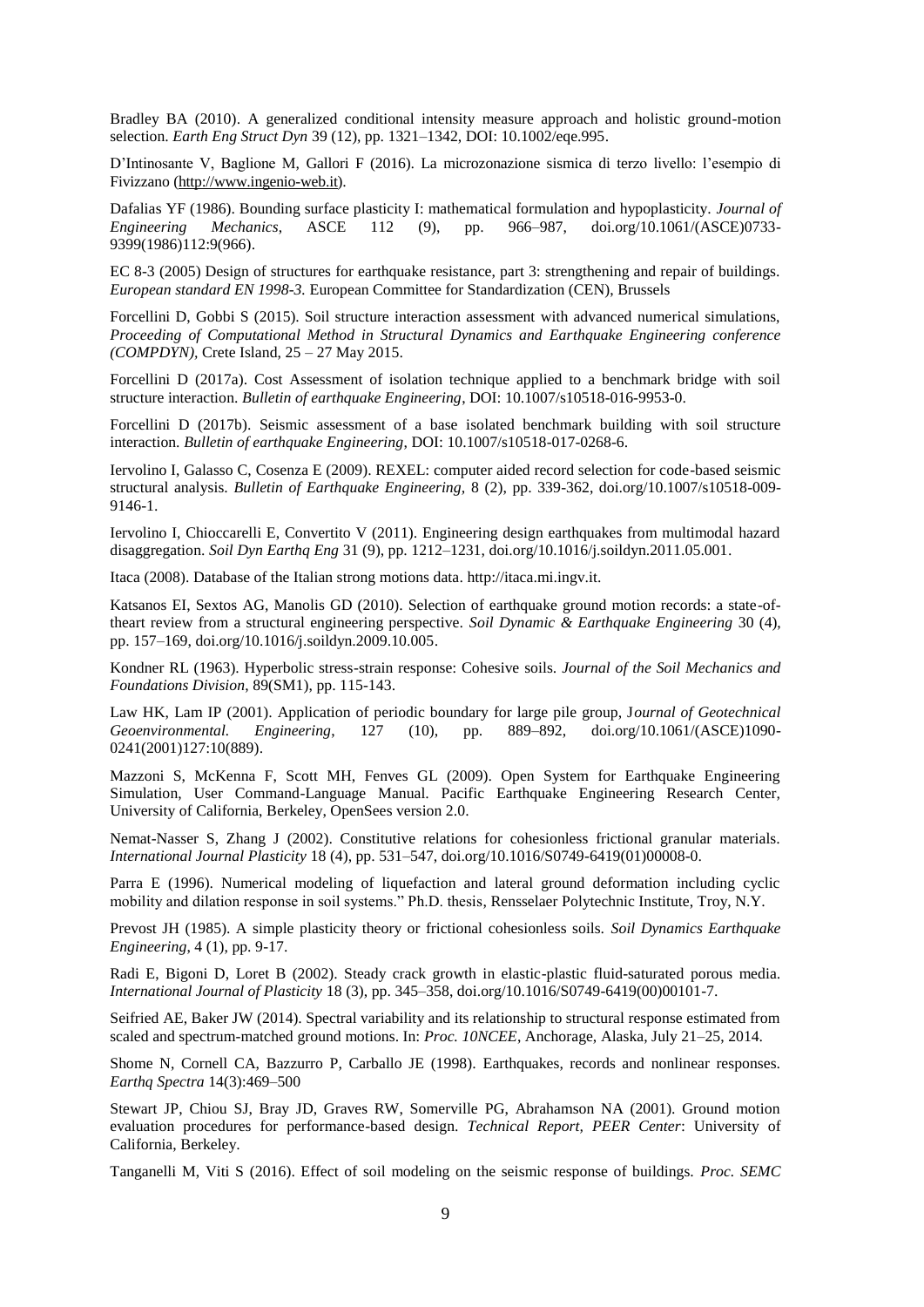Bradley BA (2010). A generalized conditional intensity measure approach and holistic ground-motion selection. *Earth Eng Struct Dyn* 39 (12), pp. 1321–1342, DOI: 10.1002/eqe.995.

D'Intinosante V, Baglione M, Gallori F (2016). La microzonazione sismica di terzo livello: l'esempio di Fivizzano [\(http://www.ingenio-web.it\)](http://www.ingenio-web.it/).

Dafalias YF (1986). Bounding surface plasticity I: mathematical formulation and hypoplasticity. *Journal of Engineering Mechanics*, ASCE 112 (9), pp. 966–987, [doi.org/10.1061/\(ASCE\)0733-](https://doi.org/10.1061/(ASCE)0733-9399(1986)112:9(966)) [9399\(1986\)112:9\(966\).](https://doi.org/10.1061/(ASCE)0733-9399(1986)112:9(966))

EC 8-3 (2005) Design of structures for earthquake resistance, part 3: strengthening and repair of buildings. *European standard EN 1998-3.* European Committee for Standardization (CEN), Brussels

Forcellini D, Gobbi S (2015). Soil structure interaction assessment with advanced numerical simulations, *Proceeding of Computational Method in Structural Dynamics and Earthquake Engineering conference (COMPDYN),* Crete Island, 25 – 27 May 2015.

Forcellini D (2017a). Cost Assessment of isolation technique applied to a benchmark bridge with soil structure interaction. *Bulletin of earthquake Engineering*, DOI: 10.1007/s10518-016-9953-0.

Forcellini D (2017b). Seismic assessment of a base isolated benchmark building with soil structure interaction. *Bulletin of earthquake Engineering*, DOI: 10.1007/s10518-017-0268-6.

[Iervolino I, Galasso C, Cosenza E \(2009\). REXEL: computer aided record selection for code-based seismic](http://wpage.unina.it/iuniervo/papers/Iervolino_et_al_REXEL_BEE.pdf)  structural analysis. *[Bulletin of Earthquake Engineering,](http://wpage.unina.it/iuniervo/papers/Iervolino_et_al_REXEL_BEE.pdf)* 8 (2), pp. 339-362, doi.org/10.1007/s10518-009- 9146-1.

Iervolino I, Chioccarelli E, Convertito V (2011). Engineering design earthquakes from multimodal hazard disaggregation. *Soil Dyn Earthq Eng* 31 (9), pp. 1212–1231, [doi.org/10.1016/j.soildyn.2011.05.001.](https://doi.org/10.1016/j.soildyn.2011.05.001)

Itaca (2008). Database of the Italian strong motions data. [http://itaca.mi.ingv.it.](http://itaca.mi.ingv.it/)

Katsanos EI, Sextos AG, Manolis GD (2010). Selection of earthquake ground motion records: a state-oftheart review from a structural engineering perspective. *Soil Dynamic & Earthquake Engineering* 30 (4), pp. 157–169, [doi.org/10.1016/j.soildyn.2009.10.005.](https://doi.org/10.1016/j.soildyn.2009.10.005)

Kondner RL (1963). Hyperbolic stress-strain response: Cohesive soils. *Journal of the Soil Mechanics and Foundations Division*, 89(SM1), pp. 115-143.

Law HK, Lam IP (2001). Application of periodic boundary for large pile group, J*ournal of Geotechnical Geoenvironmental. Engineering*, 127 (10), pp. 889–892, [doi.org/10.1061/\(ASCE\)1090-](https://doi.org/10.1061/(ASCE)1090-0241(2001)127:10(889)) [0241\(2001\)127:10\(889\).](https://doi.org/10.1061/(ASCE)1090-0241(2001)127:10(889))

Mazzoni S, McKenna F, Scott MH, Fenves GL (2009). Open System for Earthquake Engineering Simulation, User Command-Language Manual. Pacific Earthquake Engineering Research Center, University of California, Berkeley, OpenSees version 2.0.

Nemat-Nasser S, Zhang J (2002). Constitutive relations for cohesionless frictional granular materials. *International Journal Plasticity* 18 (4), pp. 531–547, [doi.org/10.1016/S0749-6419\(01\)00008-0.](https://doi.org/10.1016/S0749-6419(01)00008-0)

Parra E (1996). Numerical modeling of liquefaction and lateral ground deformation including cyclic mobility and dilation response in soil systems." Ph.D. thesis, Rensselaer Polytechnic Institute, Troy, N.Y.

Prevost JH (1985). A simple plasticity theory or frictional cohesionless soils. *Soil Dynamics Earthquake Engineering*, 4 (1), pp. 9-17.

Radi E, Bigoni D, Loret B (2002). Steady crack growth in elastic-plastic fluid-saturated porous media. *International Journal of Plasticity* 18 (3), pp. 345–358[, doi.org/10.1016/S0749-6419\(00\)00101-7.](https://doi.org/10.1016/S0749-6419(00)00101-7)

Seifried AE, Baker JW (2014). Spectral variability and its relationship to structural response estimated from scaled and spectrum-matched ground motions. In: *Proc. 10NCEE*, Anchorage, Alaska, July 21–25, 2014.

Shome N, Cornell CA, Bazzurro P, Carballo JE (1998). Earthquakes, records and nonlinear responses. *Earthq Spectra* 14(3):469–500

Stewart JP, Chiou SJ, Bray JD, Graves RW, Somerville PG, Abrahamson NA (2001). Ground motion evaluation procedures for performance-based design. *Technical Report, PEER Center*: University of California, Berkeley.

Tanganelli M, Viti S (2016). Effect of soil modeling on the seismic response of buildings. *Proc. SEMC*